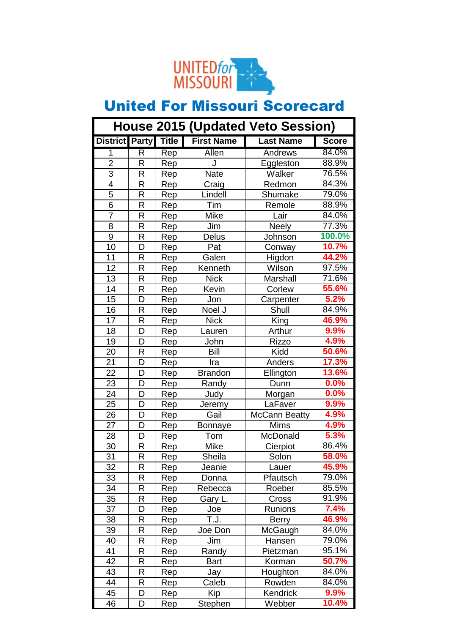

| <b>House 2015 (Updated Veto Session)</b> |   |     |                   |                      |              |
|------------------------------------------|---|-----|-------------------|----------------------|--------------|
| <b>District Party Title</b>              |   |     | <b>First Name</b> | <b>Last Name</b>     | <b>Score</b> |
| 1                                        | R | Rep | <b>Allen</b>      | <b>Andrews</b>       | 84.0%        |
| $\overline{2}$                           | R | Rep | J                 | Eggleston            | 88.9%        |
| $\overline{3}$                           | R | Rep | Nate              | Walker               | 76.5%        |
| $\overline{4}$                           | R | Rep | Craig             | Redmon               | 84.3%        |
| 5                                        | R | Rep | Lindell           | Shumake              | 79.0%        |
| $\overline{6}$                           | R | Rep | Tim               | Remole               | 88.9%        |
| $\overline{7}$                           | R | Rep | Mike              | Lair                 | 84.0%        |
| 8                                        | R | Rep | Jim               | <b>Neely</b>         | 77.3%        |
| $\overline{9}$                           | R | Rep | Delus             | Johnson              | 100.0%       |
| 10                                       | D | Rep | Pat               | Conway               | 10.7%        |
| 11                                       | R | Rep | Galen             | Higdon               | 44.2%        |
| 12                                       | R | Rep | Kenneth           | Wilson               | 97.5%        |
| 13                                       | R | Rep | <b>Nick</b>       | Marshall             | 71.6%        |
| 14                                       | R | Rep | Kevin             | Corlew               | 55.6%        |
| 15                                       | D | Rep | Jon               | Carpenter            | 5.2%         |
| 16                                       | R | Rep | Noel J            | Shull                | 84.9%        |
| 17                                       | R | Rep | <b>Nick</b>       | King                 | 46.9%        |
| 18                                       | D | Rep | Lauren            | Arthur               | 9.9%         |
| 19                                       | D | Rep | John              | <b>Rizzo</b>         | 4.9%         |
| 20                                       | R | Rep | Bill              | Kidd                 | 50.6%        |
| 21                                       | D | Rep | Ira               | Anders               | 17.3%        |
| 22                                       | D | Rep | <b>Brandon</b>    | Ellington            | 13.6%        |
| 23                                       | D | Rep | Randy             | Dunn                 | 0.0%         |
| 24                                       | D | Rep | Judy              | Morgan               | 0.0%         |
| 25                                       | D | Rep | Jeremy            | LaFaver              | 9.9%         |
| 26                                       | D | Rep | Gail              | <b>McCann Beatty</b> | 4.9%         |
| 27                                       | D | Rep | Bonnaye           | Mims                 | 4.9%         |
| 28                                       | D | Rep | Tom               | McDonald             | 5.3%         |
| 30                                       | R | Rep | <b>Mike</b>       | Cierpiot             | 86.4%        |
| 31                                       | R | Rep | Sheila            | Solon                | 58.0%        |
| 32                                       | R | Rep | Jeanie            | Lauer                | 45.9%        |
| 33                                       | R | Rep | Donna             | Pfautsch             | 79.0%        |
| 34                                       | R | Rep | Rebecca           | Roeber               | 85.5%        |
| 35                                       | R | Rep | Gary L.           | Cross                | 91.9%        |
| 37                                       | D | Rep | Joe               | Runions              | 7.4%         |
| 38                                       | R | Rep | T.J.              | <b>Berry</b>         | 46.9%        |
| 39                                       | R | Rep | Joe Don           | McGaugh              | 84.0%        |
| 40                                       | R | Rep | Jim               | Hansen               | 79.0%        |
| 41                                       | R | Rep | Randy             | Pietzman             | 95.1%        |
| 42                                       | R | Rep | <b>Bart</b>       | Korman               | 50.7%        |
| 43                                       | R | Rep | Jay               | Houghton             | 84.0%        |
| 44                                       | R | Rep | Caleb             | Rowden               | 84.0%        |
| 45                                       | D | Rep | Kip               | Kendrick             | 9.9%         |
| 46                                       | D | Rep | Stephen           | Webber               | 10.4%        |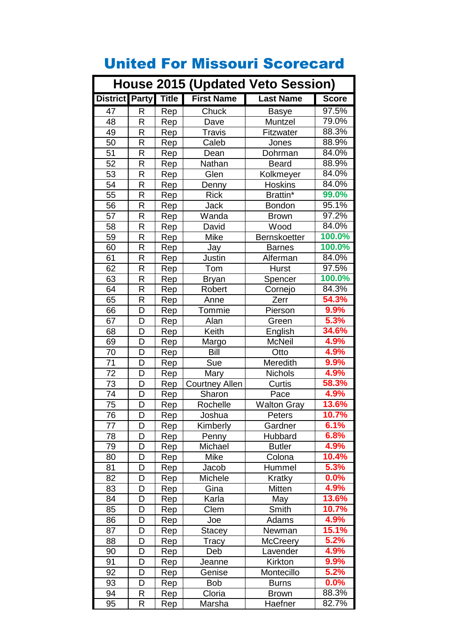| <b>House 2015 (Updated Veto Session)</b> |              |              |                       |                     |                    |
|------------------------------------------|--------------|--------------|-----------------------|---------------------|--------------------|
| <b>District Party</b>                    |              | <b>Title</b> | <b>First Name</b>     | <b>Last Name</b>    | <b>Score</b>       |
| 47                                       | R            | Rep          | Chuck                 | <b>Basye</b>        | 97.5%              |
| 48                                       | R            | Rep          | Dave                  | Muntzel             | 79.0%              |
| 49                                       | R            | Rep          | Travis                | Fitzwater           | 88.3%              |
| 50                                       | R            | Rep          | Caleb                 | Jones               | 88.9%              |
| 51                                       | R            | Rep          | Dean                  | Dohrman             | 84.0%              |
| 52                                       | R            | Rep          | Nathan                | <b>Beard</b>        | 88.9%              |
| 53                                       | R            | Rep          | Glen                  | Kolkmeyer           | 84.0%              |
| 54                                       | R            | Rep          | Denny                 | <b>Hoskins</b>      | 84.0%              |
| 55                                       | R            | Rep          | <b>Rick</b>           | Brattin*            | 99.0%              |
| 56                                       | R            | Rep          | Jack                  | <b>Bondon</b>       | 95.1%              |
| 57                                       | R            | Rep          | Wanda                 | <b>Brown</b>        | $\frac{1}{97.2\%}$ |
| 58                                       | R            | Rep          | David                 | Wood                | 84.0%              |
| 59                                       | R            | Rep          | <b>Mike</b>           | <b>Bernskoetter</b> | 100.0%             |
| 60                                       | R            | Rep          | Jay                   | <b>Barnes</b>       | 100.0%             |
| 61                                       | R            | Rep          | Justin                | Alferman            | 84.0%              |
| 62                                       | R            | Rep          | Tom                   | Hurst               | 97.5%              |
| 63                                       | R            | Rep          | <b>Bryan</b>          | Spencer             | 100.0%             |
| 64                                       | R            | Rep          | Robert                | Cornejo             | 84.3%              |
| 65                                       | R            | Rep          | Anne                  | Zerr                | 54.3%              |
| 66                                       | D            | Rep          | Tommie                | Pierson             | 9.9%               |
| 67                                       | D            | Rep          | Alan                  | Green               | 5.3%               |
| 68                                       | D            | Rep          | Keith                 | English             | 34.6%              |
| 69                                       | D            | Rep          | Margo                 | <b>McNeil</b>       | 4.9%               |
| 70                                       | D            | Rep          | Bill                  | Otto                | 4.9%               |
| 71                                       | D            | Rep          | Sue                   | Meredith            | 9.9%               |
| 72                                       | D            | Rep          | Mary                  | <b>Nichols</b>      | 4.9%               |
| 73                                       | D            | Rep          | <b>Courtney Allen</b> | Curtis              | 58.3%              |
| $\overline{74}$                          | D            | Rep          | Sharon                | Pace                | 4.9%               |
| 75                                       | D            | Rep          | Rochelle              | <b>Walton Gray</b>  | 13.6%              |
| 76                                       | D            | Rep          | Joshua                | Peters              | 10.7%              |
| 77                                       | D            | Rep          | Kimberly              | Gardner             | 6.1%               |
| 78                                       | D            | Rep          | Penny                 | Hubbard             | 6.8%               |
| 79                                       | D            | Rep          | Michael               | <b>Butler</b>       | 4.9%               |
| 80                                       | D            | Rep          | <b>Mike</b>           | Colona              | 10.4%              |
| 81                                       | D            | Rep          | Jacob                 | Hummel              | 5.3%               |
| 82                                       | D            | Rep          | Michele               | Kratky              | 0.0%               |
| 83                                       | D            | Rep          | Gina                  | Mitten              | 4.9%               |
| 84                                       | D            | Rep          | Karla                 | May                 | 13.6%              |
| 85                                       | D            | Rep          | Clem                  | Smith               | 10.7%              |
| 86                                       | D            | Rep          | Joe                   | Adams               | 4.9%               |
| 87                                       | D            | Rep          | Stacey                | Newman              | 15.1%              |
| 88                                       | D            | Rep          | Tracy                 | <b>McCreery</b>     | 5.2%               |
| 90                                       | D            | Rep          | Deb                   | Lavender            | 4.9%               |
| 91                                       | D            | Rep          | Jeanne                | Kirkton             | 9.9%               |
| 92                                       | D            | Rep          | Genise                | Montecillo          | 5.2%               |
| 93                                       | D            | Rep          | Bob                   | <b>Burns</b>        | 0.0%               |
| 94                                       | R            | Rep          | Cloria                | <b>Brown</b>        | 88.3%              |
| 95                                       | $\mathsf{R}$ | <b>Rep</b>   | Marsha                | Haefner             | 82.7%              |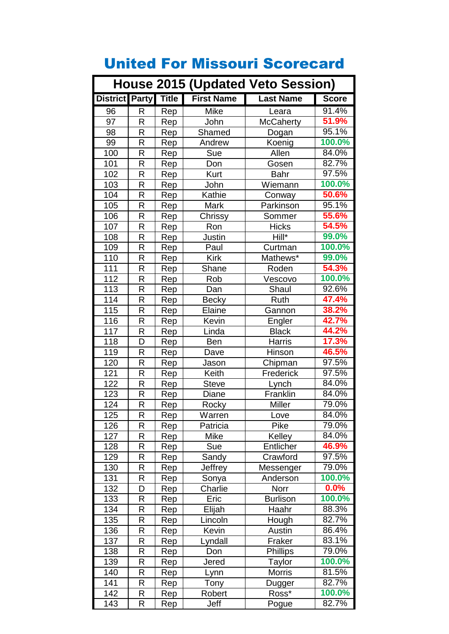| <b>House 2015 (Updated Veto Session)</b> |   |              |                   |                  |                     |
|------------------------------------------|---|--------------|-------------------|------------------|---------------------|
| <b>District Party</b>                    |   | <b>Title</b> | <b>First Name</b> | <b>Last Name</b> | <b>Score</b>        |
| 96                                       | R | Rep          | <b>Mike</b>       | Leara            | 91.4%               |
| 97                                       | R | Rep          | John              | McCaherty        | 51.9%               |
| 98                                       | R | Rep          | Shamed            | Dogan            | 95.1%               |
| 99                                       | R | Rep          | Andrew            | Koenig           | 100.0%              |
| 100                                      | R | Rep          | <b>Sue</b>        | Allen            | 84.0%               |
| 101                                      | R | Rep          | Don               | Gosen            | 82.7%               |
| 102                                      | R | Rep          | Kurt              | <b>Bahr</b>      | 97.5%               |
| 103                                      | R | Rep          | John              | Wiemann          | 100.0%              |
| 104                                      | R | Rep          | Kathie            | Conway           | 50.6%               |
| 105                                      | R | Rep          | Mark              | Parkinson        | 95.1%               |
| 106                                      | R | Rep          | Chrissy           | Sommer           | 55.6%               |
| 107                                      | R | Rep          | Ron               | <b>Hicks</b>     | 54.5%               |
| 108                                      | R | Rep          | Justin            | Hill*            | 99.0%               |
| 109                                      | R | Rep          | Paul              | Curtman          | 100.0%              |
| 110                                      | R | Rep          | <b>Kirk</b>       | Mathews*         | 99.0%               |
| 111                                      | R | Rep          | Shane             | Roden            | 54.3%               |
| 112                                      | R | Rep          | Rob               | Vescovo          | 100.0%              |
| 113                                      | R | Rep          | Dan               | Shaul            | $92.\overline{6\%}$ |
| 114                                      | R | Rep          | <b>Becky</b>      | Ruth             | 47.4%               |
| 115                                      | R | Rep          | Elaine            | Gannon           | 38.2%               |
| 116                                      | R | Rep          | Kevin             | Engler           | 42.7%               |
| 117                                      | R | Rep          | Linda             | <b>Black</b>     | 44.2%               |
| 118                                      | D | Rep          | <b>Ben</b>        | Harris           | 17.3%               |
| 119                                      | R | Rep          | Dave              | Hinson           | 46.5%               |
| 120                                      | R | Rep          | Jason             | Chipman          | 97.5%               |
| 121                                      | R | Rep          | Keith             | Frederick        | 97.5%               |
| 122                                      | R | Rep          | <b>Steve</b>      | Lynch            | 84.0%               |
| $\overline{1}23$                         | R | Rep          | Diane             | Franklin         | 84.0%               |
| 124                                      | R | Rep          | Rocky             | Miller           | 79.0%               |
| 125                                      | R | Rep          | Warren            | Love             | 84.0%               |
| 126                                      | R | Rep          | Patricia          | Pike             | 79.0%               |
| 127                                      | R | Rep          | Mike              | Kelley           | 84.0%               |
| 128                                      | R | Rep          | Sue               | Entlicher        | 46.9%               |
| 129                                      | R | Rep          | Sandy             | Crawford         | 97.5%               |
| 130                                      | R | Rep          | Jeffrey           | Messenger        | 79.0%               |
| 131                                      | R | Rep          | Sonya             | Anderson         | 100.0%              |
| 132                                      | D | Rep          | Charlie           | Norr             | $0.0\%$             |
| 133                                      | R | Rep          | Eric              | <b>Burlison</b>  | 100.0%              |
| 134                                      | R | Rep          | Elijah            | Haahr            | 88.3%               |
| 135                                      | R | Rep          | Lincoln           | Hough            | 82.7%               |
| 136                                      | R | Rep          | Kevin             | Austin           | 86.4%               |
| 137                                      | R | Rep          | Lyndall           | Fraker           | 83.1%               |
| 138                                      | R | Rep          | Don               | Phillips         | 79.0%               |
| 139                                      | R | Rep          | Jered             | Taylor           | 100.0%              |
| 140                                      | R | Rep          | Lynn              | <b>Morris</b>    | 81.5%               |
| 141                                      | R | Rep          | Tony              | Dugger           | 82.7%               |
| 142                                      | R | Rep          | Robert            | Ross*            | 100.0%              |
| 143                                      | R | Rep          | Jeff              | Pogue            | 82.7%               |